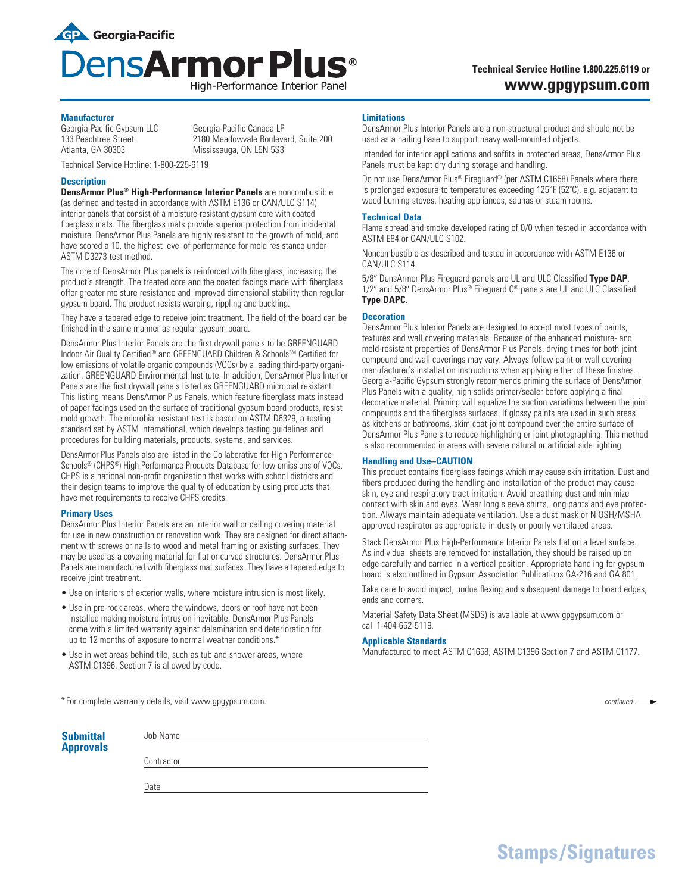

Mississauga, ON L5N 5S3

# **Technical Service Hotline 1.800.225.6119 or www.gpgypsum.com**

### **Manufacturer**

Georgia-Pacific Gypsum LLC Georgia-Pacific Canada LP<br>133 Peachtree Street 2180 Meadowvale Bouleva 133 Peachtree Street 2180 Meadowvale Boulevard, Suite 200<br>Atlanta. GA 30303 120 Mississauga. ON L5N 5S3

Technical Service Hotline: 1-800-225-6119

### **Description**

**DensArmor Plus® High-Performance Interior Panels** are noncombustible (as defined and tested in accordance with ASTM E136 or CAN/ULC S114) interior panels that consist of a moisture-resistant gypsum core with coated fiberglass mats. The fiberglass mats provide superior protection from incidental moisture. DensArmor Plus Panels are highly resistant to the growth of mold, and have scored a 10, the highest level of performance for mold resistance under ASTM D3273 test method.

The core of DensArmor Plus panels is reinforced with fiberglass, increasing the product's strength. The treated core and the coated facings made with fiberglass offer greater moisture resistance and improved dimensional stability than regular gypsum board. The product resists warping, rippling and buckling.

They have a tapered edge to receive joint treatment. The field of the board can be finished in the same manner as regular gypsum board.

DensArmor Plus Interior Panels are the first drywall panels to be GREENGUARD Indoor Air Quality Certified<sup>®</sup> and GREENGUARD Children & Schools<sup>SM</sup> Certified for low emissions of volatile organic compounds (VOCs) by a leading third-party organization, GREENGUARD Environmental Institute. In addition, DensArmor Plus Interior Panels are the first drywall panels listed as GREENGUARD microbial resistant. This listing means DensArmor Plus Panels, which feature fiberglass mats instead of paper facings used on the surface of traditional gypsum board products, resist mold growth. The microbial resistant test is based on ASTM D6329, a testing standard set by ASTM International, which develops testing guidelines and procedures for building materials, products, systems, and services.

DensArmor Plus Panels also are listed in the Collaborative for High Performance Schools® (CHPS®) High Performance Products Database for low emissions of VOCs. CHPS is a national non-profit organization that works with school districts and their design teams to improve the quality of education by using products that have met requirements to receive CHPS credits.

## **Primary Uses**

DensArmor Plus Interior Panels are an interior wall or ceiling covering material for use in new construction or renovation work. They are designed for direct attachment with screws or nails to wood and metal framing or existing surfaces. They may be used as a covering material for flat or curved structures. DensArmor Plus Panels are manufactured with fiberglass mat surfaces. They have a tapered edge to receive joint treatment.

- Use on interiors of exterior walls, where moisture intrusion is most likely.
- Use in pre-rock areas, where the windows, doors or roof have not been installed making moisture intrusion inevitable. DensArmor Plus Panels come with a limited warranty against delamination and deterioration for up to 12 months of exposure to normal weather conditions.\*
- Use in wet areas behind tile, such as tub and shower areas, where ASTM C1396, Section 7 is allowed by code.

\*For complete warranty details, visit www.gpgypsum.com.

| <b>Submittal</b><br><b>Approvals</b> | Job Name   |
|--------------------------------------|------------|
|                                      | Contractor |
|                                      | Date       |

### **Limitations**

DensArmor Plus Interior Panels are a non-structural product and should not be used as a nailing base to support heavy wall-mounted objects.

Intended for interior applications and soffits in protected areas, DensArmor Plus Panels must be kept dry during storage and handling.

Do not use DensArmor Plus® Fireguard® (per ASTM C1658) Panels where there is prolonged exposure to temperatures exceeding 125°F (52°C), e.g. adjacent to wood burning stoves, heating appliances, saunas or steam rooms.

#### **Technical Data**

Flame spread and smoke developed rating of 0/0 when tested in accordance with ASTM E84 or CAN/ULC S102.

Noncombustible as described and tested in accordance with ASTM E136 or CAN/ULC S114.

5/8" DensArmor Plus Fireguard panels are UL and ULC Classified Type DAP. 1/2" and 5/8" DensArmor Plus® Fireguard C® panels are UL and ULC Classified **Type DAPC**.

### **Decoration**

DensArmor Plus Interior Panels are designed to accept most types of paints, textures and wall covering materials. Because of the enhanced moisture- and mold-resistant properties of DensArmor Plus Panels, drying times for both joint compound and wall coverings may vary. Always follow paint or wall covering manufacturer's installation instructions when applying either of these finishes. Georgia-Pacific Gypsum strongly recommends priming the surface of DensArmor Plus Panels with a quality, high solids primer/sealer before applying a final decorative material. Priming will equalize the suction variations between the joint compounds and the fiberglass surfaces. If glossy paints are used in such areas as kitchens or bathrooms, skim coat joint compound over the entire surface of DensArmor Plus Panels to reduce highlighting or joint photographing. This method is also recommended in areas with severe natural or artificial side lighting.

### **Handling and Use–CAUTION**

This product contains fiberglass facings which may cause skin irritation. Dust and fibers produced during the handling and installation of the product may cause skin, eye and respiratory tract irritation. Avoid breathing dust and minimize contact with skin and eyes. Wear long sleeve shirts, long pants and eye protection. Always maintain adequate ventilation. Use a dust mask or NIOSH/MSHA approved respirator as appropriate in dusty or poorly ventilated areas.

Stack DensArmor Plus High-Performance Interior Panels flat on a level surface. As individual sheets are removed for installation, they should be raised up on edge carefully and carried in a vertical position. Appropriate handling for gypsum board is also outlined in Gypsum Association Publications GA-216 and GA 801.

Take care to avoid impact, undue flexing and subsequent damage to board edges, ends and corners.

Material Safety Data Sheet (MSDS) is available at www.gpgypsum.com or call 1-404-652-5119.

### **Applicable Standards**

Manufactured to meet ASTM C1658, ASTM C1396 Section 7 and ASTM C1177.

*continued*